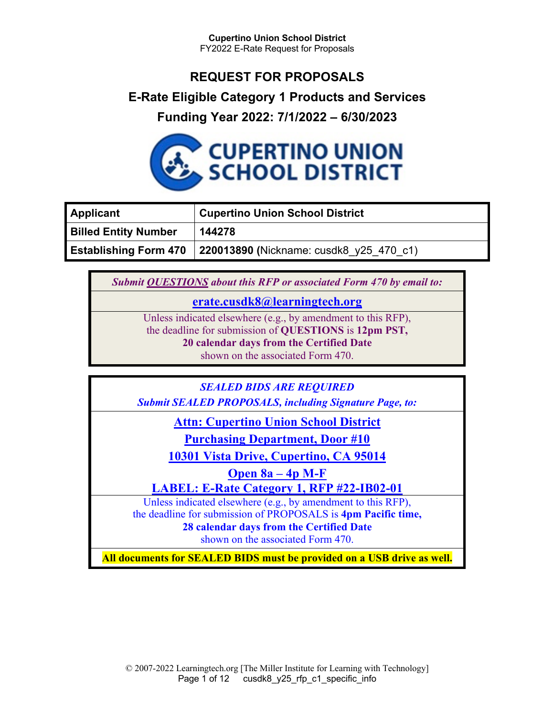# **REQUEST FOR PROPOSALS**

## **E-Rate Eligible Category 1 Products and Services**

# **Funding Year 2022: 7/1/2022 – 6/30/2023**



| <b>Applicant</b>            | <b>Cupertino Union School District</b>                                 |
|-----------------------------|------------------------------------------------------------------------|
| <b>Billed Entity Number</b> | 144278                                                                 |
|                             | <b>Establishing Form 470</b> 220013890 (Nickname: cusdk8 $y25$ 470 c1) |

*Submit QUESTIONS about this RFP or associated Form 470 by email to:*

## **erate.cusdk8@learningtech.org**

Unless indicated elsewhere (e.g., by amendment to this RFP), the deadline for submission of **QUESTIONS** is **12pm PST, 20 calendar days from the Certified Date**  shown on the associated Form 470.

*SEALED BIDS ARE REQUIRED*

*Submit SEALED PROPOSALS, including Signature Page, to:*

**Attn: Cupertino Union School District**

**Purchasing Department, Door #10**

**10301 Vista Drive, Cupertino, CA 95014**

**Open 8a – 4p M-F**

**LABEL: E-Rate Category 1, RFP #22-IB02-01**

Unless indicated elsewhere (e.g., by amendment to this RFP), the deadline for submission of PROPOSALS is **4pm Pacific time, 28 calendar days from the Certified Date**  shown on the associated Form 470.

**All documents for SEALED BIDS must be provided on a USB drive as well.**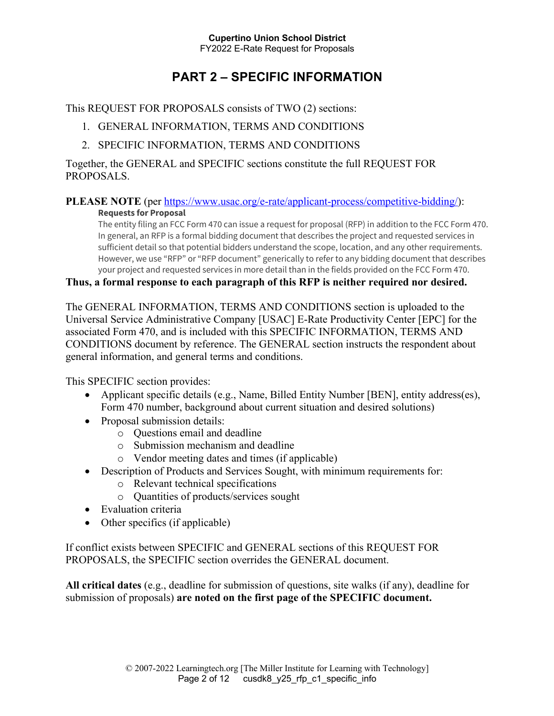# **PART 2 – SPECIFIC INFORMATION**

This REQUEST FOR PROPOSALS consists of TWO (2) sections:

- 1. GENERAL INFORMATION, TERMS AND CONDITIONS
- 2. SPECIFIC INFORMATION, TERMS AND CONDITIONS

Together, the GENERAL and SPECIFIC sections constitute the full REQUEST FOR PROPOSALS.

# **PLEASE NOTE** (per https://www.usac.org/e-rate/applicant-process/competitive-bidding/):

#### **Requests for Proposal**

The entity filing an FCC Form 470 can issue a request for proposal (RFP) in addition to the FCC Form 470. In general, an RFP is a formal bidding document that describes the project and requested services in sufficient detail so that potential bidders understand the scope, location, and any other requirements. However, we use "RFP" or "RFP document" generically to refer to any bidding document that describes your project and requested services in more detail than in the fields provided on the FCC Form 470.

#### **Thus, a formal response to each paragraph of this RFP is neither required nor desired.**

The GENERAL INFORMATION, TERMS AND CONDITIONS section is uploaded to the Universal Service Administrative Company [USAC] E-Rate Productivity Center [EPC] for the associated Form 470, and is included with this SPECIFIC INFORMATION, TERMS AND CONDITIONS document by reference. The GENERAL section instructs the respondent about general information, and general terms and conditions.

This SPECIFIC section provides:

- Applicant specific details (e.g., Name, Billed Entity Number [BEN], entity address(es), Form 470 number, background about current situation and desired solutions)
- Proposal submission details:
	- o Questions email and deadline
	- o Submission mechanism and deadline
	- o Vendor meeting dates and times (if applicable)
- Description of Products and Services Sought, with minimum requirements for:
	- o Relevant technical specifications
	- o Quantities of products/services sought
- Evaluation criteria
- Other specifics (if applicable)

If conflict exists between SPECIFIC and GENERAL sections of this REQUEST FOR PROPOSALS, the SPECIFIC section overrides the GENERAL document.

**All critical dates** (e.g., deadline for submission of questions, site walks (if any), deadline for submission of proposals) **are noted on the first page of the SPECIFIC document.**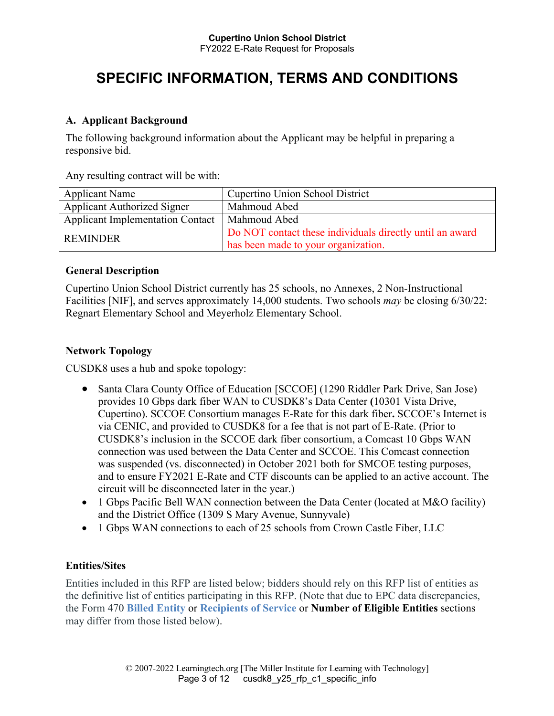# **SPECIFIC INFORMATION, TERMS AND CONDITIONS**

#### **A. Applicant Background**

The following background information about the Applicant may be helpful in preparing a responsive bid.

Any resulting contract will be with:

| <b>Applicant Name</b>                   | <b>Cupertino Union School District</b>                   |
|-----------------------------------------|----------------------------------------------------------|
| <b>Applicant Authorized Signer</b>      | Mahmoud Abed                                             |
| <b>Applicant Implementation Contact</b> | Mahmoud Abed                                             |
| <b>REMINDER</b>                         | Do NOT contact these individuals directly until an award |
|                                         | has been made to your organization.                      |

#### **General Description**

Cupertino Union School District currently has 25 schools, no Annexes, 2 Non-Instructional Facilities [NIF], and serves approximately 14,000 students. Two schools *may* be closing 6/30/22: Regnart Elementary School and Meyerholz Elementary School.

#### **Network Topology**

CUSDK8 uses a hub and spoke topology:

- Santa Clara County Office of Education [SCCOE] (1290 Riddler Park Drive, San Jose) provides 10 Gbps dark fiber WAN to CUSDK8's Data Center **(**10301 Vista Drive, Cupertino). SCCOE Consortium manages E-Rate for this dark fiber**.** SCCOE's Internet is via CENIC, and provided to CUSDK8 for a fee that is not part of E-Rate. (Prior to CUSDK8's inclusion in the SCCOE dark fiber consortium, a Comcast 10 Gbps WAN connection was used between the Data Center and SCCOE. This Comcast connection was suspended (vs. disconnected) in October 2021 both for SMCOE testing purposes, and to ensure FY2021 E-Rate and CTF discounts can be applied to an active account. The circuit will be disconnected later in the year.)
- 1 Gbps Pacific Bell WAN connection between the Data Center (located at M&O facility) and the District Office (1309 S Mary Avenue, Sunnyvale)
- 1 Gbps WAN connections to each of 25 schools from Crown Castle Fiber, LLC

#### **Entities/Sites**

Entities included in this RFP are listed below; bidders should rely on this RFP list of entities as the definitive list of entities participating in this RFP. (Note that due to EPC data discrepancies, the Form 470 **Billed Entity** or **Recipients of Service** or **Number of Eligible Entities** sections may differ from those listed below).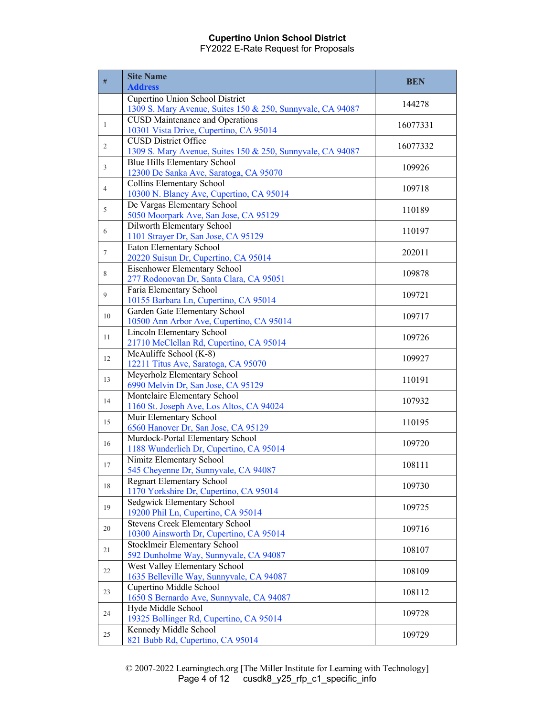| #              | <b>Site Name</b><br><b>Address</b>                                                            | <b>BEN</b> |
|----------------|-----------------------------------------------------------------------------------------------|------------|
|                | Cupertino Union School District<br>1309 S. Mary Avenue, Suites 150 & 250, Sunnyvale, CA 94087 | 144278     |
| $\mathbf{1}$   | <b>CUSD Maintenance and Operations</b><br>10301 Vista Drive, Cupertino, CA 95014              | 16077331   |
| $\overline{2}$ | <b>CUSD District Office</b><br>1309 S. Mary Avenue, Suites 150 & 250, Sunnyvale, CA 94087     | 16077332   |
| 3              | Blue Hills Elementary School<br>12300 De Sanka Ave, Saratoga, CA 95070                        | 109926     |
| $\overline{4}$ | <b>Collins Elementary School</b><br>10300 N. Blaney Ave, Cupertino, CA 95014                  | 109718     |
| 5              | De Vargas Elementary School<br>5050 Moorpark Ave, San Jose, CA 95129                          | 110189     |
| 6              | Dilworth Elementary School<br>1101 Strayer Dr, San Jose, CA 95129                             | 110197     |
| $\tau$         | Eaton Elementary School<br>20220 Suisun Dr, Cupertino, CA 95014                               | 202011     |
| 8              | Eisenhower Elementary School<br>277 Rodonovan Dr, Santa Clara, CA 95051                       | 109878     |
| 9              | Faria Elementary School<br>10155 Barbara Ln, Cupertino, CA 95014                              | 109721     |
| 10             | Garden Gate Elementary School<br>10500 Ann Arbor Ave, Cupertino, CA 95014                     | 109717     |
| 11             | <b>Lincoln Elementary School</b><br>21710 McClellan Rd, Cupertino, CA 95014                   | 109726     |
| 12             | McAuliffe School (K-8)<br>12211 Titus Ave, Saratoga, CA 95070                                 | 109927     |
| 13             | Meyerholz Elementary School<br>6990 Melvin Dr, San Jose, CA 95129                             | 110191     |
| 14             | Montclaire Elementary School<br>1160 St. Joseph Ave, Los Altos, CA 94024                      | 107932     |
| 15             | Muir Elementary School<br>6560 Hanover Dr, San Jose, CA 95129                                 | 110195     |
| 16             | Murdock-Portal Elementary School<br>1188 Wunderlich Dr, Cupertino, CA 95014                   | 109720     |
| 17             | Nimitz Elementary School<br>545 Cheyenne Dr, Sunnyvale, CA 94087                              | 108111     |
| 18             | <b>Regnart Elementary School</b><br>1170 Yorkshire Dr, Cupertino, CA 95014                    | 109730     |
| 19             | Sedgwick Elementary School<br>19200 Phil Ln, Cupertino, CA 95014                              | 109725     |
| 20             | <b>Stevens Creek Elementary School</b><br>10300 Ainsworth Dr, Cupertino, CA 95014             | 109716     |
| 21             | Stocklmeir Elementary School<br>592 Dunholme Way, Sunnyvale, CA 94087                         | 108107     |
| 22             | West Valley Elementary School<br>1635 Belleville Way, Sunnyvale, CA 94087                     | 108109     |
| 23             | Cupertino Middle School<br>1650 S Bernardo Ave, Sunnyvale, CA 94087                           | 108112     |
| 24             | Hyde Middle School<br>19325 Bollinger Rd, Cupertino, CA 95014                                 | 109728     |
| 25             | Kennedy Middle School<br>821 Bubb Rd, Cupertino, CA 95014                                     | 109729     |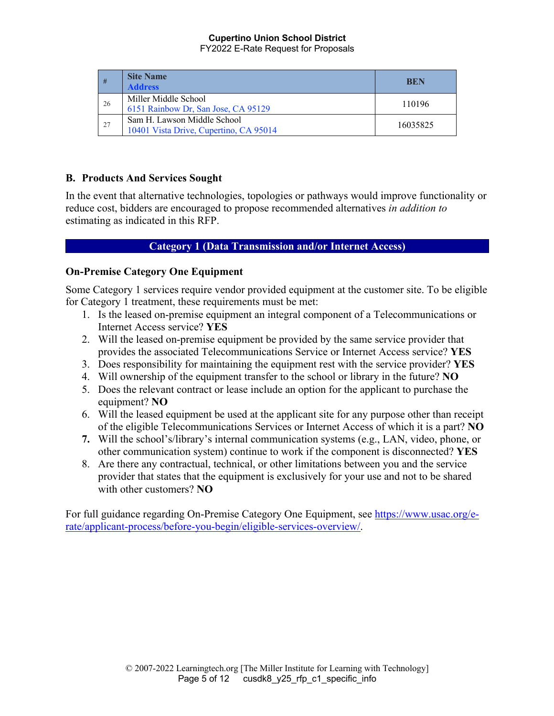| #  | <b>Site Name</b><br><b>Address</b>                                    | BEN      |
|----|-----------------------------------------------------------------------|----------|
| 26 | Miller Middle School<br>6151 Rainbow Dr, San Jose, CA 95129           | 110196   |
| 27 | Sam H. Lawson Middle School<br>10401 Vista Drive, Cupertino, CA 95014 | 16035825 |

### **B. Products And Services Sought**

In the event that alternative technologies, topologies or pathways would improve functionality or reduce cost, bidders are encouraged to propose recommended alternatives *in addition to*  estimating as indicated in this RFP.

### **Category 1 (Data Transmission and/or Internet Access)**

## **On-Premise Category One Equipment**

Some Category 1 services require vendor provided equipment at the customer site. To be eligible for Category 1 treatment, these requirements must be met:

- 1. Is the leased on-premise equipment an integral component of a Telecommunications or Internet Access service? **YES**
- 2. Will the leased on-premise equipment be provided by the same service provider that provides the associated Telecommunications Service or Internet Access service? **YES**
- 3. Does responsibility for maintaining the equipment rest with the service provider? **YES**
- 4. Will ownership of the equipment transfer to the school or library in the future? **NO**
- 5. Does the relevant contract or lease include an option for the applicant to purchase the equipment? **NO**
- 6. Will the leased equipment be used at the applicant site for any purpose other than receipt of the eligible Telecommunications Services or Internet Access of which it is a part? **NO**
- **7.** Will the school's/library's internal communication systems (e.g., LAN, video, phone, or other communication system) continue to work if the component is disconnected? **YES**
- 8. Are there any contractual, technical, or other limitations between you and the service provider that states that the equipment is exclusively for your use and not to be shared with other customers? **NO**

For full guidance regarding On-Premise Category One Equipment, see https://www.usac.org/erate/applicant-process/before-you-begin/eligible-services-overview/.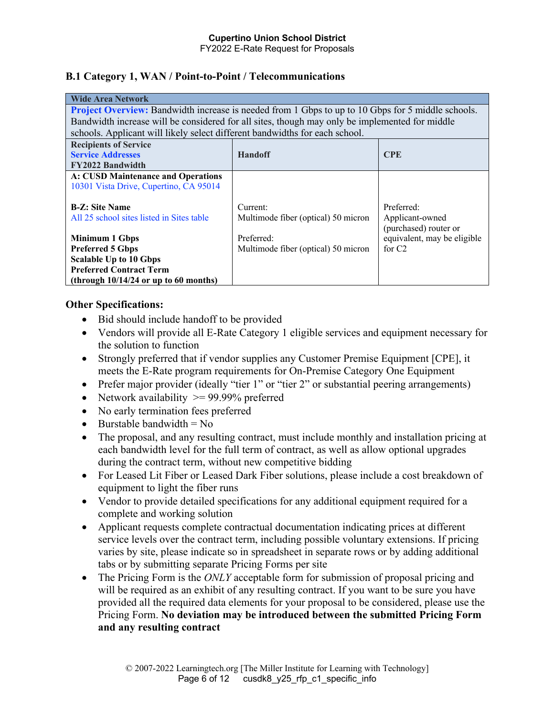#### **B.1 Category 1, WAN / Point-to-Point / Telecommunications**

| <b>Wide Area Network</b>                                                                                 |                                                                             |                             |  |
|----------------------------------------------------------------------------------------------------------|-----------------------------------------------------------------------------|-----------------------------|--|
| <b>Project Overview:</b> Bandwidth increase is needed from 1 Gbps to up to 10 Gbps for 5 middle schools. |                                                                             |                             |  |
| Bandwidth increase will be considered for all sites, though may only be implemented for middle           |                                                                             |                             |  |
|                                                                                                          | schools. Applicant will likely select different bandwidths for each school. |                             |  |
| <b>Recipients of Service</b>                                                                             |                                                                             |                             |  |
| <b>Service Addresses</b>                                                                                 | <b>Handoff</b>                                                              | <b>CPE</b>                  |  |
| <b>FY2022 Bandwidth</b>                                                                                  |                                                                             |                             |  |
| <b>A: CUSD Maintenance and Operations</b>                                                                |                                                                             |                             |  |
| 10301 Vista Drive, Cupertino, CA 95014                                                                   |                                                                             |                             |  |
|                                                                                                          |                                                                             |                             |  |
| <b>B-Z: Site Name</b>                                                                                    | Current:                                                                    | Preferred:                  |  |
| All 25 school sites listed in Sites table                                                                | Multimode fiber (optical) 50 micron                                         | Applicant-owned             |  |
|                                                                                                          |                                                                             | (purchased) router or       |  |
| <b>Minimum 1 Gbps</b>                                                                                    | Preferred:                                                                  | equivalent, may be eligible |  |
| <b>Preferred 5 Gbps</b>                                                                                  | Multimode fiber (optical) 50 micron                                         | for $C2$                    |  |
| <b>Scalable Up to 10 Gbps</b>                                                                            |                                                                             |                             |  |
| <b>Preferred Contract Term</b>                                                                           |                                                                             |                             |  |
| (through $10/14/24$ or up to 60 months)                                                                  |                                                                             |                             |  |

#### **Other Specifications:**

- Bid should include handoff to be provided
- Vendors will provide all E-Rate Category 1 eligible services and equipment necessary for the solution to function
- Strongly preferred that if vendor supplies any Customer Premise Equipment [CPE], it meets the E-Rate program requirements for On-Premise Category One Equipment
- Prefer major provider (ideally "tier 1" or "tier 2" or substantial peering arrangements)
- Network availability  $\ge$  99.99% preferred
- No early termination fees preferred
- Burstable bandwidth  $= No$
- The proposal, and any resulting contract, must include monthly and installation pricing at each bandwidth level for the full term of contract, as well as allow optional upgrades during the contract term, without new competitive bidding
- For Leased Lit Fiber or Leased Dark Fiber solutions, please include a cost breakdown of equipment to light the fiber runs
- Vendor to provide detailed specifications for any additional equipment required for a complete and working solution
- Applicant requests complete contractual documentation indicating prices at different service levels over the contract term, including possible voluntary extensions. If pricing varies by site, please indicate so in spreadsheet in separate rows or by adding additional tabs or by submitting separate Pricing Forms per site
- The Pricing Form is the *ONLY* acceptable form for submission of proposal pricing and will be required as an exhibit of any resulting contract. If you want to be sure you have provided all the required data elements for your proposal to be considered, please use the Pricing Form. **No deviation may be introduced between the submitted Pricing Form and any resulting contract**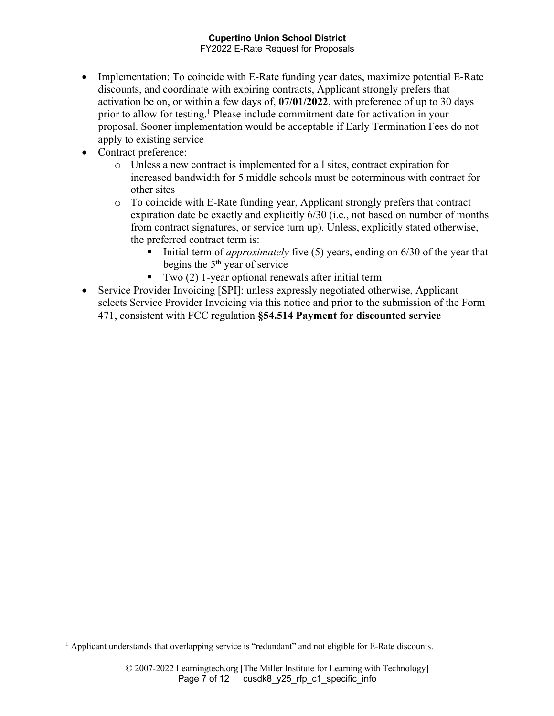- Implementation: To coincide with E-Rate funding year dates, maximize potential E-Rate discounts, and coordinate with expiring contracts, Applicant strongly prefers that activation be on, or within a few days of, **07/01/2022**, with preference of up to 30 days prior to allow for testing.1 Please include commitment date for activation in your proposal. Sooner implementation would be acceptable if Early Termination Fees do not apply to existing service
- Contract preference:
	- o Unless a new contract is implemented for all sites, contract expiration for increased bandwidth for 5 middle schools must be coterminous with contract for other sites
	- o To coincide with E-Rate funding year, Applicant strongly prefers that contract expiration date be exactly and explicitly 6/30 (i.e., not based on number of months from contract signatures, or service turn up). Unless, explicitly stated otherwise, the preferred contract term is:
		- Initial term of *approximately* five (5) years, ending on 6/30 of the year that begins the  $5<sup>th</sup>$  year of service
		- Two (2) 1-year optional renewals after initial term
- Service Provider Invoicing [SPI]: unless expressly negotiated otherwise, Applicant selects Service Provider Invoicing via this notice and prior to the submission of the Form 471, consistent with FCC regulation **§54.514 Payment for discounted service**

<sup>&</sup>lt;sup>1</sup> Applicant understands that overlapping service is "redundant" and not eligible for E-Rate discounts.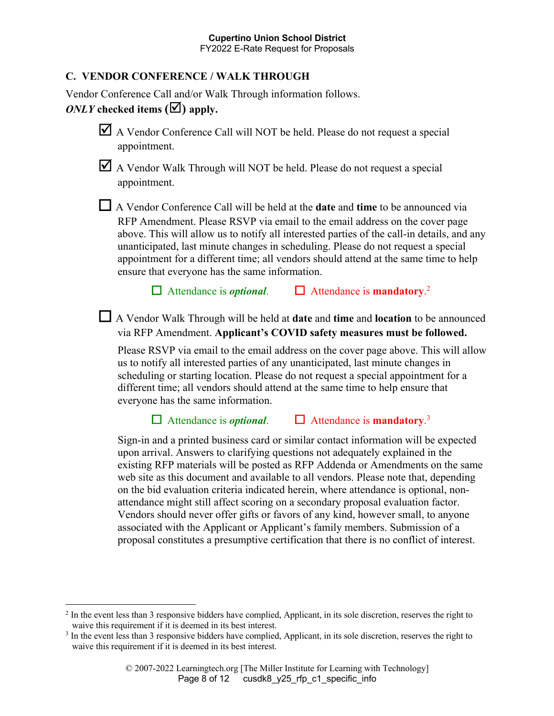#### **C. VENDOR CONFERENCE / WALK THROUGH**

Vendor Conference Call and/or Walk Through information follows.

## *ONLY* checked items  $(\blacktriangle)$  apply.

- $\blacktriangleright$  A Vendor Conference Call will NOT be held. Please do not request a special appointment.
- $\mathbf{\nabla}$  A Vendor Walk Through will NOT be held. Please do not request a special appointment.

☐ A Vendor Conference Call will be held at the **date** and **time** to be announced via RFP Amendment. Please RSVP via email to the email address on the cover page above. This will allow us to notify all interested parties of the call-in details, and any unanticipated, last minute changes in scheduling. Please do not request a special appointment for a different time; all vendors should attend at the same time to help ensure that everyone has the same information.

☐ Attendance is *optional*. ☐ Attendance is **mandatory**. 2

☐ A Vendor Walk Through will be held at **date** and **time** and **location** to be announced via RFP Amendment. **Applicant's COVID safety measures must be followed.**

Please RSVP via email to the email address on the cover page above. This will allow us to notify all interested parties of any unanticipated, last minute changes in scheduling or starting location. Please do not request a special appointment for a different time; all vendors should attend at the same time to help ensure that everyone has the same information.

☐ Attendance is *optional*. ☐ Attendance is **mandatory**. 3

Sign-in and a printed business card or similar contact information will be expected upon arrival. Answers to clarifying questions not adequately explained in the existing RFP materials will be posted as RFP Addenda or Amendments on the same web site as this document and available to all vendors. Please note that, depending on the bid evaluation criteria indicated herein, where attendance is optional, nonattendance might still affect scoring on a secondary proposal evaluation factor. Vendors should never offer gifts or favors of any kind, however small, to anyone associated with the Applicant or Applicant's family members. Submission of a proposal constitutes a presumptive certification that there is no conflict of interest.

<sup>&</sup>lt;sup>2</sup> In the event less than 3 responsive bidders have complied, Applicant, in its sole discretion, reserves the right to waive this requirement if it is deemed in its best interest.

<sup>&</sup>lt;sup>3</sup> In the event less than 3 responsive bidders have complied, Applicant, in its sole discretion, reserves the right to waive this requirement if it is deemed in its best interest.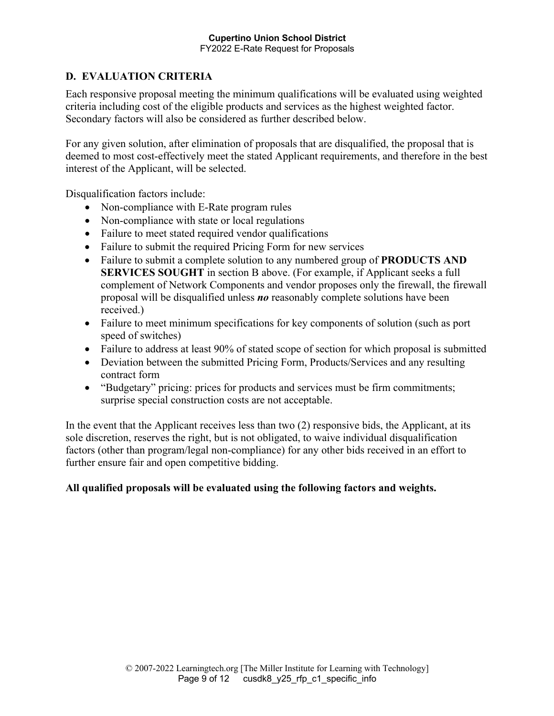## **D. EVALUATION CRITERIA**

Each responsive proposal meeting the minimum qualifications will be evaluated using weighted criteria including cost of the eligible products and services as the highest weighted factor. Secondary factors will also be considered as further described below.

For any given solution, after elimination of proposals that are disqualified, the proposal that is deemed to most cost-effectively meet the stated Applicant requirements, and therefore in the best interest of the Applicant, will be selected.

Disqualification factors include:

- Non-compliance with E-Rate program rules
- Non-compliance with state or local regulations
- Failure to meet stated required vendor qualifications
- Failure to submit the required Pricing Form for new services
- Failure to submit a complete solution to any numbered group of **PRODUCTS AND SERVICES SOUGHT** in section B above. (For example, if Applicant seeks a full complement of Network Components and vendor proposes only the firewall, the firewall proposal will be disqualified unless *no* reasonably complete solutions have been received.)
- Failure to meet minimum specifications for key components of solution (such as port speed of switches)
- Failure to address at least 90% of stated scope of section for which proposal is submitted
- Deviation between the submitted Pricing Form, Products/Services and any resulting contract form
- "Budgetary" pricing: prices for products and services must be firm commitments; surprise special construction costs are not acceptable.

In the event that the Applicant receives less than two (2) responsive bids, the Applicant, at its sole discretion, reserves the right, but is not obligated, to waive individual disqualification factors (other than program/legal non-compliance) for any other bids received in an effort to further ensure fair and open competitive bidding.

## **All qualified proposals will be evaluated using the following factors and weights.**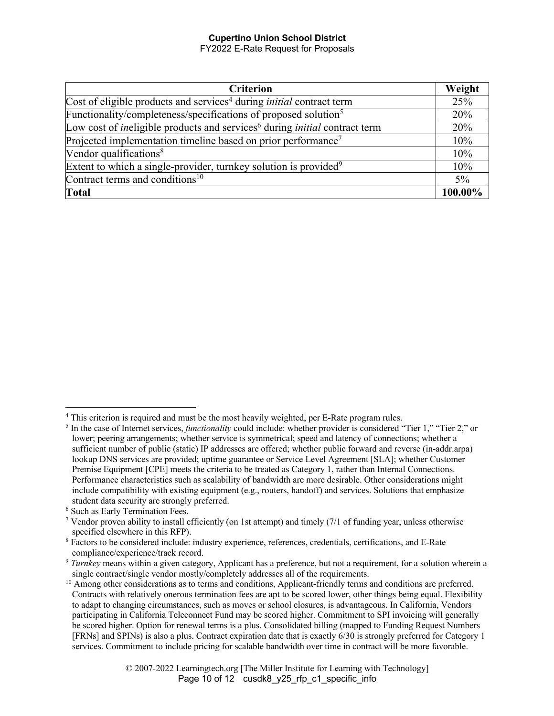| <b>Criterion</b>                                                                                     | Weight  |
|------------------------------------------------------------------------------------------------------|---------|
| Cost of eligible products and services <sup>4</sup> during <i>initial</i> contract term              | 25%     |
| Functionality/completeness/specifications of proposed solution <sup>5</sup>                          | 20%     |
| Low cost of <i>ineligible</i> products and services <sup>6</sup> during <i>initial</i> contract term | 20%     |
| Projected implementation timeline based on prior performance <sup>7</sup>                            | 10%     |
| Vendor qualifications <sup>8</sup>                                                                   | 10%     |
| Extent to which a single-provider, turnkey solution is provided <sup>9</sup>                         | 10%     |
| Contract terms and conditions <sup>10</sup>                                                          | $5\%$   |
| <b>Total</b>                                                                                         | 100.00% |

<sup>&</sup>lt;sup>4</sup> This criterion is required and must be the most heavily weighted, per E-Rate program rules.<br><sup>5</sup> In the case of Internet services, *functionality* could include: whether provider is considered "Tier 1," "Tier 2," or lower; peering arrangements; whether service is symmetrical; speed and latency of connections; whether a sufficient number of public (static) IP addresses are offered; whether public forward and reverse (in-addr.arpa) lookup DNS services are provided; uptime guarantee or Service Level Agreement [SLA]; whether Customer Premise Equipment [CPE] meets the criteria to be treated as Category 1, rather than Internal Connections. Performance characteristics such as scalability of bandwidth are more desirable. Other considerations might include compatibility with existing equipment (e.g., routers, handoff) and services. Solutions that emphasize student data security are strongly preferred.

<sup>6</sup> Such as Early Termination Fees.

<sup>&</sup>lt;sup>7</sup> Vendor proven ability to install efficiently (on 1st attempt) and timely  $(7/1)$  of funding year, unless otherwise specified elsewhere in this RFP).

<sup>8</sup> Factors to be considered include: industry experience, references, credentials, certifications, and E-Rate compliance/experience/track record.

<sup>9</sup> *Turnkey* means within a given category, Applicant has a preference, but not a requirement, for a solution wherein a single contract/single vendor mostly/completely addresses all of the requirements.

<sup>&</sup>lt;sup>10</sup> Among other considerations as to terms and conditions, Applicant-friendly terms and conditions are preferred. Contracts with relatively onerous termination fees are apt to be scored lower, other things being equal. Flexibility to adapt to changing circumstances, such as moves or school closures, is advantageous. In California, Vendors participating in California Teleconnect Fund may be scored higher. Commitment to SPI invoicing will generally be scored higher. Option for renewal terms is a plus. Consolidated billing (mapped to Funding Request Numbers [FRNs] and SPINs) is also a plus. Contract expiration date that is exactly 6/30 is strongly preferred for Category 1 services. Commitment to include pricing for scalable bandwidth over time in contract will be more favorable.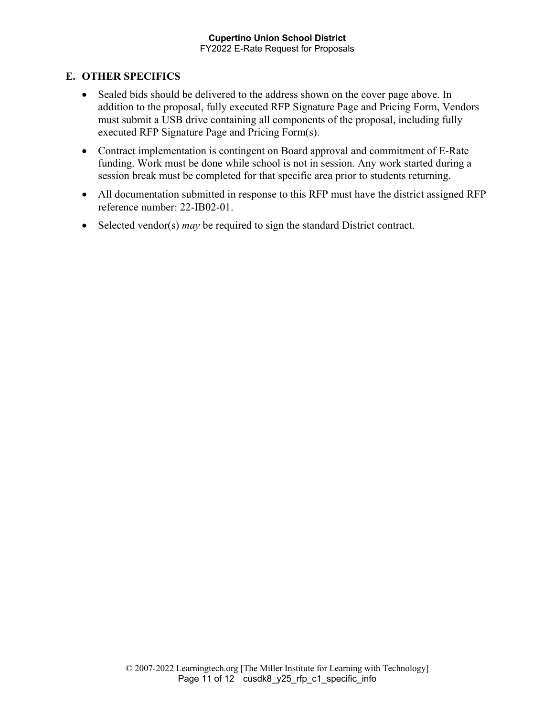### **E. OTHER SPECIFICS**

- Sealed bids should be delivered to the address shown on the cover page above. In addition to the proposal, fully executed RFP Signature Page and Pricing Form, Vendors must submit a USB drive containing all components of the proposal, including fully executed RFP Signature Page and Pricing Form(s).
- Contract implementation is contingent on Board approval and commitment of E-Rate funding. Work must be done while school is not in session. Any work started during a session break must be completed for that specific area prior to students returning.
- All documentation submitted in response to this RFP must have the district assigned RFP reference number: 22-IB02-01.
- Selected vendor(s) *may* be required to sign the standard District contract.